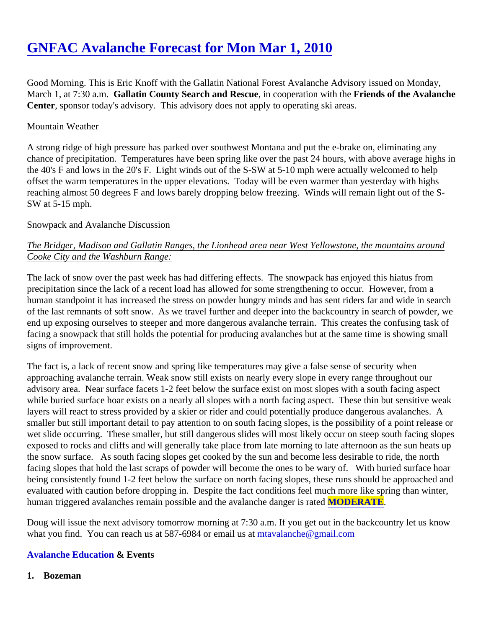Good Morning. This is Eric Knoff with the Gallatin National Forest Avalanche Advisory issued on Monday, March 1, at 7:30 a.m Gallatin County Search and Rescuein cooperation with the Friends of the Avalanche Center, sponsor today's advisory. This advisory does not apply to operating ski areas.

### Mountain Weather

A strong ridge of high pressure has parked over southwest Montana and put the e-brake on, eliminating any chance of precipitation. Temperatures have been spring like over the past 24 hours, with above average high the 40's F and lows in the 20's F. Light winds out of the S-SW at 5-10 mph were actually welcomed to help offset the warm temperatures in the upper elevations. Today will be even warmer than yesterday with highs reaching almost 50 degrees F and lows barely dropping below freezing. Winds will remain light out of the S-SW at 5-15 mph.

## Snowpack and Avalanche Discussion

# The Bridger, Madison and Gallatin Ranges, the Lionhead area near West Yellowstone, the mountains around Cooke City and the Washburn Range:

The lack of snow over the past week has had differing effects. The snowpack has enjoyed this hiatus from precipitation since the lack of a recent load has allowed for some strengthening to occur. However, from a human standpoint it has increased the stress on powder hungry minds and has sent riders far and wide in search of the last remnants of soft snow. As we travel further and deeper into the backcountry in search of powder, w end up exposing ourselves to steeper and more dangerous avalanche terrain. This creates the confusing tas facing a snowpack that still holds the potential for producing avalanches but at the same time is showing sma signs of improvement.

The fact is, a lack of recent snow and spring like temperatures may give a false sense of security when approaching avalanche terrain. Weak snow still exists on nearly every slope in every range throughout our advisory area. Near surface facets 1-2 feet below the surface exist on most slopes with a south facing aspect while buried surface hoar exists on a nearly all slopes with a north facing aspect. These thin but sensitive we layers will react to stress provided by a skier or rider and could potentially produce dangerous avalanches. A smaller but still important detail to pay attention to on south facing slopes, is the possibility of a point release wet slide occurring. These smaller, but still dangerous slides will most likely occur on steep south facing slop exposed to rocks and cliffs and will generally take place from late morning to late afternoon as the sun heats the snow surface. As south facing slopes get cooked by the sun and become less desirable to ride, the north facing slopes that hold the last scraps of powder will become the ones to be wary of. With buried surface ho being consistently found 1-2 feet below the surface on north facing slopes, these runs should be approached evaluated with caution before dropping in. Despite the fact conditions feel much more like spring than winter, human triggered avalanches remain possible and the avalanche dange **MODERATE**.

Doug will issue the next advisory tomorrow morning at 7:30 a.m. If you get out in the backcountry let us know what you find. You can reach us at 587-6984 or email *matatalanche@gmail.com* 

#### [Avalanche Education](http://www.mtavalanche.com/education) & Events

1. Bozeman